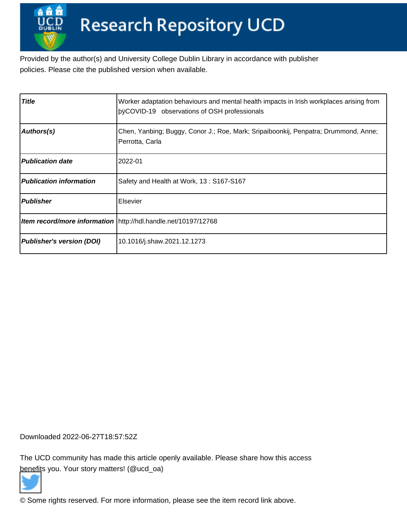Provided by the author(s) and University College Dublin Library in accordance with publisher policies. Please cite the published version when available.

| <b>Title</b>                   | Worker adaptation behaviours and mental health impacts in Irish workplaces arising from<br>bÿCOVID-19 observations of OSH professionals |
|--------------------------------|-----------------------------------------------------------------------------------------------------------------------------------------|
| Authors(s)                     | Chen, Yanbing; Buggy, Conor J.; Roe, Mark; Sripaiboonkij, Penpatra; Drummond, Anne;<br>Perrotta, Carla                                  |
| <b>Publication date</b>        | 2022-01                                                                                                                                 |
| <b>Publication information</b> | Safety and Health at Work, 13: S167-S167                                                                                                |
| <b>Publisher</b>               | Elsevier                                                                                                                                |
|                                | Item record/more information   http://hdl.handle.net/10197/12768                                                                        |
| Publisher's version (DOI)      | 10.1016/j.shaw.2021.12.1273                                                                                                             |

Downloaded 2022-06-27T18:57:52Z

The UCD community has made this article openly available. Please share how this access [benefit](https://twitter.com/intent/tweet?via=ucd_oa&text=DOI%3A10.1016%2Fj.shaw.2021.12.1273&url=http%3A%2F%2Fhdl.handle.net%2F10197%2F12768)s you. Your story matters! (@ucd\_oa)



© Some rights reserved. For more information, please see the item record link above.